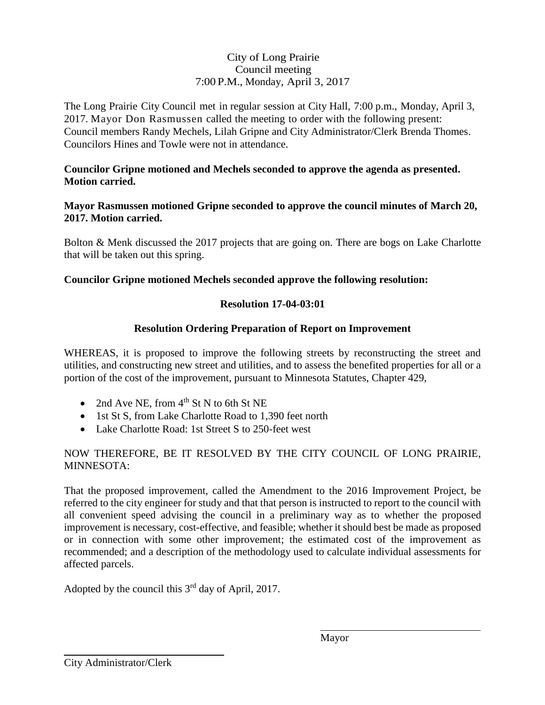# City of Long Prairie Council meeting 7:00 P.M., Monday, April 3, 2017

The Long Prairie City Council met in regular session at City Hall, 7:00 p.m., Monday, April 3, 2017. Mayor Don Rasmussen called the meeting to order with the following present: Council members Randy Mechels, Lilah Gripne and City Administrator/Clerk Brenda Thomes. Councilors Hines and Towle were not in attendance.

### **Councilor Gripne motioned and Mechels seconded to approve the agenda as presented. Motion carried.**

### **Mayor Rasmussen motioned Gripne seconded to approve the council minutes of March 20, 2017. Motion carried.**

Bolton & Menk discussed the 2017 projects that are going on. There are bogs on Lake Charlotte that will be taken out this spring.

# **Councilor Gripne motioned Mechels seconded approve the following resolution:**

# **Resolution 17-04-03:01**

# **Resolution Ordering Preparation of Report on Improvement**

WHEREAS, it is proposed to improve the following streets by reconstructing the street and utilities, and constructing new street and utilities, and to assess the benefited properties for all or a portion of the cost of the improvement, pursuant to Minnesota Statutes, Chapter 429,

- 2nd Ave NE, from  $4<sup>th</sup>$  St N to 6th St NE
- 1st St S, from Lake Charlotte Road to 1,390 feet north
- Lake Charlotte Road: 1st Street S to 250-feet west

### NOW THEREFORE, BE IT RESOLVED BY THE CITY COUNCIL OF LONG PRAIRIE, MINNESOTA:

That the proposed improvement, called the Amendment to the 2016 Improvement Project, be referred to the city engineer for study and that that person is instructed to report to the council with all convenient speed advising the council in a preliminary way as to whether the proposed improvement is necessary, cost-effective, and feasible; whether it should best be made as proposed or in connection with some other improvement; the estimated cost of the improvement as recommended; and a description of the methodology used to calculate individual assessments for affected parcels.

Adopted by the council this  $3<sup>rd</sup>$  day of April, 2017.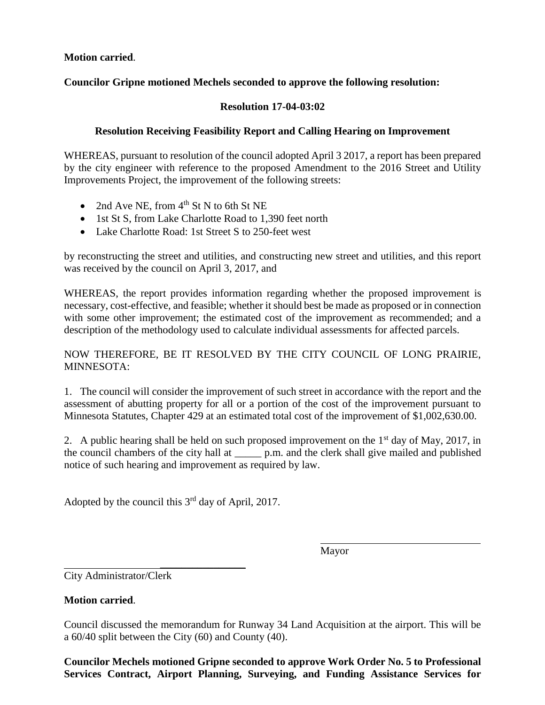**Motion carried**.

### **Councilor Gripne motioned Mechels seconded to approve the following resolution:**

#### **Resolution 17-04-03:02**

#### **Resolution Receiving Feasibility Report and Calling Hearing on Improvement**

WHEREAS, pursuant to resolution of the council adopted April 3 2017, a report has been prepared by the city engineer with reference to the proposed Amendment to the 2016 Street and Utility Improvements Project, the improvement of the following streets:

- 2nd Ave NE, from  $4<sup>th</sup>$  St N to 6th St NE
- 1st St S, from Lake Charlotte Road to 1,390 feet north
- Lake Charlotte Road: 1st Street S to 250-feet west

by reconstructing the street and utilities, and constructing new street and utilities, and this report was received by the council on April 3, 2017, and

WHEREAS, the report provides information regarding whether the proposed improvement is necessary, cost-effective, and feasible; whether it should best be made as proposed or in connection with some other improvement; the estimated cost of the improvement as recommended; and a description of the methodology used to calculate individual assessments for affected parcels.

NOW THEREFORE, BE IT RESOLVED BY THE CITY COUNCIL OF LONG PRAIRIE, MINNESOTA:

1. The council will consider the improvement of such street in accordance with the report and the assessment of abutting property for all or a portion of the cost of the improvement pursuant to Minnesota Statutes, Chapter 429 at an estimated total cost of the improvement of \$1,002,630.00.

2. A public hearing shall be held on such proposed improvement on the  $1<sup>st</sup>$  day of May, 2017, in the council chambers of the city hall at  $p.m.$  and the clerk shall give mailed and published notice of such hearing and improvement as required by law.

Adopted by the council this  $3<sup>rd</sup>$  day of April, 2017.

\_\_\_\_\_\_\_\_\_\_\_\_\_\_\_\_

Mayor

City Administrator/Clerk

#### **Motion carried**.

Council discussed the memorandum for Runway 34 Land Acquisition at the airport. This will be a 60/40 split between the City (60) and County (40).

**Councilor Mechels motioned Gripne seconded to approve Work Order No. 5 to Professional Services Contract, Airport Planning, Surveying, and Funding Assistance Services for**